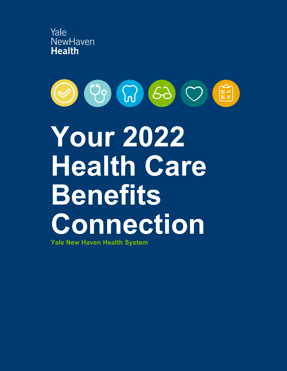



# **Your 2022 Health Care Benefits Connection**

**Yale New Haven Health System**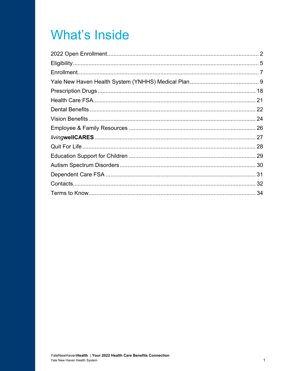### **What's Inside**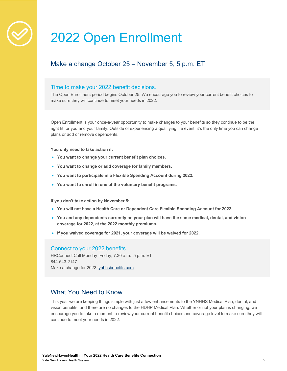

### 2022 Open Enrollment

#### Make a change October 25 – November 5, 5 p.m. ET

#### Time to make your 2022 benefit decisions.

The Open Enrollment period begins October 25. We encourage you to review your current benefit choices to make sure they will continue to meet your needs in 2022.

Open Enrollment is your once-a-year opportunity to make changes to your benefits so they continue to be the right fit for you and your family. Outside of experiencing a qualifying life event, it's the only time you can change plans or add or remove dependents.

**You only need to take action if:**

- **You want to change your current benefit plan choices.**
- **You want to change or add coverage for family members.**
- **You want to participate in a Flexible Spending Account during 2022.**
- **You want to enroll in one of the voluntary benefit programs.**

**If you don't take action by November 5:**

- **You will not have a Health Care or Dependent Care Flexible Spending Account for 2022.**
- **You and any dependents currently on your plan will have the same medical, dental, and vision coverage for 2022, at the 2022 monthly premiums.**
- **If you waived coverage for 2021, your coverage will be waived for 2022.**

#### Connect to your 2022 benefits

HRConnect Call Monday–Friday, 7:30 a.m.–5 p.m. ET 844-543-2147 Make a change for 2022: ynhhsbenefits.com

#### What You Need to Know

This year we are keeping things simple with just a few enhancements to the YNHHS Medical Plan, dental, and vision benefits, and there are no changes to the HDHP Medical Plan. Whether or not your plan is changing, we encourage you to take a moment to review your current benefit choices and coverage level to make sure they will continue to meet your needs in 2022.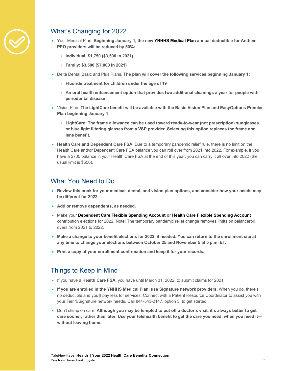

#### What's Changing for 2022

- Your Medical Plan. **Beginning January 1, the new YNHHS Medical Plan annual deductible for Anthem PPO providers will be reduced by 50%:**
	- **Individual: \$1,750 (\$3,500 in 2021)**
	- **Family: \$3,500 (\$7,000 in 2021)**
- Delta Dental Basic and Plus Plans. **The plan will cover the following services beginning January 1:** 
	- **Fluoride treatment for children under the age of 19**
	- **An oral health enhancement option that provides two additional cleanings a year for people with periodontal disease**
- Vision Plan. **The LightCare benefit will be available with the Basic Vision Plan and EasyOptions Premier Plan beginning January 1:**
	- **LightCare: The frame allowance can be used toward ready-to-wear (not prescription) sunglasses or blue light filtering glasses from a VSP provider. Selecting this option replaces the frame and lens benefit.**
- **Health Care and Dependent Care FSA.** Due to a temporary pandemic relief rule, there is no limit on the Health Care and/or Dependent Care FSA balance you can roll over from 2021 into 2022. For example, if you have a \$700 balance in your Health Care FSA at the end of this year, you can carry it all over into 2022 (the usual limit is \$550).

#### What You Need to Do

- **Review this book for your medical, dental, and vision plan options, and consider how your needs may be different for 2022.**
- **Add or remove dependents, as needed.**
- Make your **Dependent Care Flexible Spending Account or Health Care Flexible Spending Account** contribution elections for 2022**.** Note: The temporary pandemic relief change removes limits on balanceroll overs from 2021 to 2022.
- **Make a change to your benefit elections for 2022, if needed. You can return to the enrollment site at any time to change your elections between October 25 and November 5 at 5 p.m. ET.**
- **Print a copy of your enrollment confirmation and keep it for your records.**

#### Things to Keep in Mind

- If you have a **Health Care FSA,** you have until March 31, 2022, to submit claims for 2021.
- **If you are enrolled in the YNHHS Medical Plan, use Signature network providers.** When you do, there's no deductible and you'll pay less for services. Connect with a Patient Resource Coordinator to assist you with your Tier 1/Signature network needs. Call 844-543-2147, option 3, to get started.
- Don't skimp on care. **Although you may be tempted to put off a doctor's visit, it's always better to get care sooner, rather than later. Use your telehealth benefit to get the care you need, when you need it without leaving home.**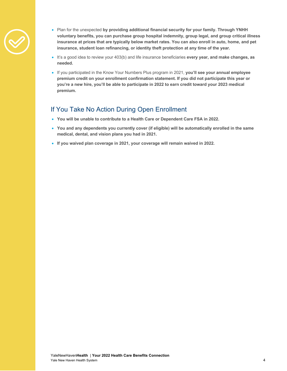

- Plan for the unexpected **by providing additional financial security for your family. Through YNHH voluntary benefits, you can purchase group hospital indemnity, group legal, and group critical illness insurance at prices that are typically below market rates. You can also enroll in auto, home, and pet insurance, student loan refinancing, or identity theft protection at any time of the year.**
- It's a good idea to review your 403(b) and life insurance beneficiaries **every year, and make changes, as needed.**
- If you participated in the Know Your Numbers Plus program in 2021, **you'll see your annual employee premium credit on your enrollment confirmation statement. If you did not participate this year or you're a new hire, you'll be able to participate in 2022 to earn credit toward your 2023 medical premium.**

#### If You Take No Action During Open Enrollment

- **You will be unable to contribute to a Health Care or Dependent Care FSA in 2022.**
- **You and any dependents you currently cover (if eligible) will be automatically enrolled in the same medical, dental, and vision plans you had in 2021.**
- **If you waived plan coverage in 2021, your coverage will remain waived in 2022.**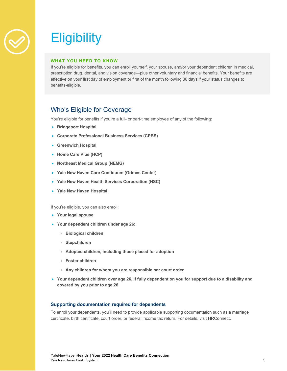

## **Eligibility**

#### **WHAT YOU NEED TO KNOW**

If you're eligible for benefits, you can enroll yourself, your spouse, and/or your dependent children in medical, prescription drug, dental, and vision coverage—plus other voluntary and financial benefits. Your benefits are effective on your first day of employment or first of the month following 30 days if your status changes to benefits-eligible.

#### Who's Eligible for Coverage

You're eligible for benefits if you're a full- or part-time employee of any of the following:

- **Bridgeport Hospital**
- **Corporate Professional Business Services (CPBS)**
- **Greenwich Hospital**
- **Home Care Plus (HCP)**
- **Northeast Medical Group (NEMG)**
- **Yale New Haven Care Continuum (Grimes Center)**
- **Yale New Haven Health Services Corporation (HSC)**
- **Yale New Haven Hospital**

If you're eligible, you can also enroll:

- **Your legal spouse**
- **Your dependent children under age 26:**
	- **Biological children**
	- **Stepchildren**
	- **Adopted children, including those placed for adoption**
	- **Foster children**
	- **Any children for whom you are responsible per court order**
- **Your dependent children over age 26, if fully dependent on you for support due to a disability and covered by you prior to age 26**

#### **Supporting documentation required for dependents**

To enroll your dependents, you'll need to provide applicable supporting documentation such as a marriage certificate, birth certificate, court order, or federal income tax return. For details, visit HRConnect.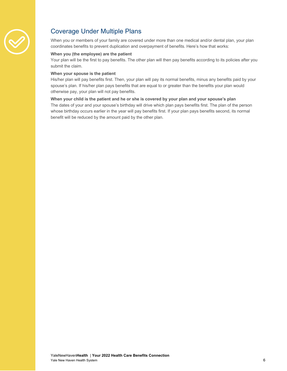

### Coverage Under Multiple Plans

When you or members of your family are covered under more than one medical and/or dental plan, your plan coordinates benefits to prevent duplication and overpayment of benefits. Here's how that works:

#### **When you (the employee) are the patient**

Your plan will be the first to pay benefits. The other plan will then pay benefits according to its policies after you submit the claim.

#### **When your spouse is the patient**

His/her plan will pay benefits first. Then, your plan will pay its normal benefits, minus any benefits paid by your spouse's plan. If his/her plan pays benefits that are equal to or greater than the benefits your plan would otherwise pay, your plan will not pay benefits.

#### **When your child is the patient and he or she is covered by your plan and your spouse's plan**

The dates of your and your spouse's birthday will drive which plan pays benefits first. The plan of the person whose birthday occurs earlier in the year will pay benefits first. If your plan pays benefits second, its normal benefit will be reduced by the amount paid by the other plan.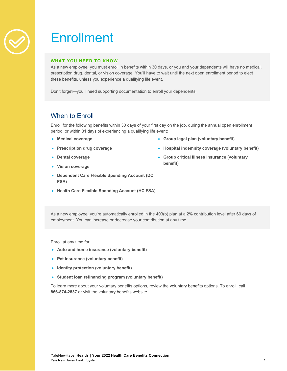

### **Enrollment**

#### **WHAT YOU NEED TO KNOW**

As a new employee, you must enroll in benefits within 30 days, or you and your dependents will have no medical, prescription drug, dental, or vision coverage. You'll have to wait until the next open enrollment period to elect these benefits, unless you experience a qualifying life event.

Don't forget—you'll need supporting documentation to enroll your dependents.

#### When to Enroll

Enroll for the following benefits within 30 days of your first day on the job, during the annual open enrollment period, or within 31 days of experiencing a qualifying life event:

- **Medical coverage**
- **Prescription drug coverage**
- **Dental coverage**
- **Group legal plan (voluntary benefit)**
- **Hospital indemnity coverage (voluntary benefit)**
- **Group critical illness insurance (voluntary benefit)**
- **Vision coverage**
- **Dependent Care Flexible Spending Account (DC FSA)**
- **Health Care Flexible Spending Account (HC FSA)**

As a new employee, you're automatically enrolled in the 403(b) plan at a 2% contribution level after 60 days of employment. You can increase or decrease your contribution at any time.

Enroll at any time for:

- **Auto and home insurance (voluntary benefit)**
- **Pet insurance (voluntary benefit)**
- **Identity protection (voluntary benefit)**
- **Student loan refinancing program (voluntary benefit)**

To learn more about your voluntary benefits options, review the voluntary benefits options. To enroll, call **866-874-2837** or visit the voluntary benefits website.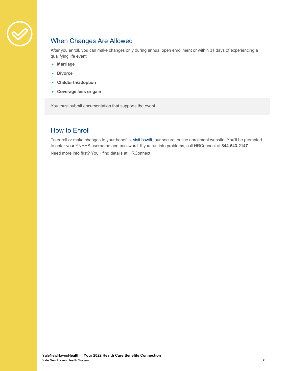

### When Changes Are Allowed

After you enroll, you can make changes only during annual open enrollment or within 31 days of experiencing a qualifying life event:

- **Marriage**
- **Divorce**
- **Childbirth/adoption**
- **Coverage loss or gain**

You must submit documentation that supports the event.

#### How to Enroll

To enroll or make changes to your benefits, visit bswift, our secure, online enrollment website. You'll be prompted to enter your YNHHS username and password. If you run into problems, call HRConnect at **844-543-2147**. Need more info first? You'll find details at HRConnect.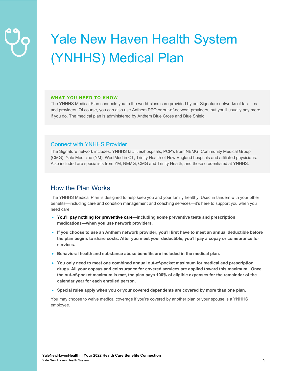# Yale New Haven Health System (YNHHS) Medical Plan

#### **WHAT YOU NEED TO KNOW**

The YNHHS Medical Plan connects you to the world-class care provided by our Signature networks of facilities and providers. Of course, you can also use Anthem PPO or out-of-network providers, but you'll usually pay more if you do. The medical plan is administered by Anthem Blue Cross and Blue Shield.

#### Connect with YNHHS Provider

The Signature network includes: YNHHS facilities/hospitals, PCP's from NEMG, Community Medical Group (CMG), Yale Medicine (YM), WestMed in CT, Trinity Health of New England hospitals and affiliated physicians. Also included are specialists from YM, NEMG, CMG and Trinity Health, and those credentialed at YNHHS.

#### How the Plan Works

The YNHHS Medical Plan is designed to help keep you and your family healthy. Used in tandem with your other benefits—including care and condition management and coaching services—it's here to support you when you need care.

- **You'll pay nothing for preventive care—including some preventive tests and prescription medications—when you use network providers.**
- **If you choose to use an Anthem network provider, you'll first have to meet an annual deductible before the plan begins to share costs. After you meet your deductible, you'll pay a copay or coinsurance for services.**
- **Behavioral health and substance abuse benefits are included in the medical plan.**
- **You only need to meet one combined annual out-of-pocket maximum for medical and prescription drugs. All your copays and coinsurance for covered services are applied toward this maximum. Once the out-of-pocket maximum is met, the plan pays 100% of eligible expenses for the remainder of the calendar year for each enrolled person.**
- **Special rules apply when you or your covered dependents are covered by more than one plan.**

You may choose to waive medical coverage if you're covered by another plan or your spouse is a YNHHS employee.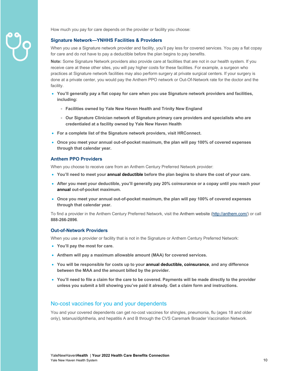

How much you pay for care depends on the provider or facility you choose:

#### **Signature Network—YNHHS Facilities & Providers**

When you use a Signature network provider and facility, you'll pay less for covered services. You pay a flat copay for care and do not have to pay a deductible before the plan begins to pay benefits.

**Note:** Some Signature Network providers also provide care at facilities that are not in our health system. If you receive care at these other sites, you will pay higher costs for these facilities. For example, a surgeon who practices at Signature network facilities may also perform surgery at private surgical centers. If your surgery is done at a private center, you would pay the Anthem PPO network or Out-Of-Network rate for the doctor and the facility.

- **You'll generally pay a flat copay for care when you use Signature network providers and facilities, including:**
	- **Facilities owned by Yale New Haven Health and Trinity New England**
	- **Our Signature Clinician network of Signature primary care providers and specialists who are credentialed at a facility owned by Yale New Haven Health**
- **For a complete list of the Signature network providers, visit HRConnect.**
- **Once you meet your annual out-of-pocket maximum, the plan will pay 100% of covered expenses through that calendar year.**

#### **Anthem PPO Providers**

When you choose to receive care from an Anthem Century Preferred Network provider:

- **You'll need to meet your annual deductible before the plan begins to share the cost of your care.**
- **After you meet your deductible, you'll generally pay 20% coinsurance or a copay until you reach your annual out-of-pocket maximum.**
- **Once you meet your annual out-of-pocket maximum, the plan will pay 100% of covered expenses through that calendar year.**

To find a provider in the Anthem Century Preferred Network, visit the Anthem website (http://anthem.com/) or call **888-266-2896**.

#### **Out-of-Network Providers**

When you use a provider or facility that is not in the Signature or Anthem Century Preferred Network:

- **You'll pay the most for care.**
- **Anthem will pay a maximum allowable amount (MAA) for covered services.**
- **You will be responsible for costs up to your annual deductible, coinsurance, and any difference between the MAA and the amount billed by the provider.**
- **You'll need to file a claim for the care to be covered. Payments will be made directly to the provider unless you submit a bill showing you've paid it already. Get a claim form and instructions.**

#### No-cost vaccines for you and your dependents

You and your covered dependents can get no-cost vaccines for shingles, pneumonia, flu (ages 18 and older only), tetanus/diphtheria, and hepatitis A and B through the CVS Caremark Broader Vaccination Network.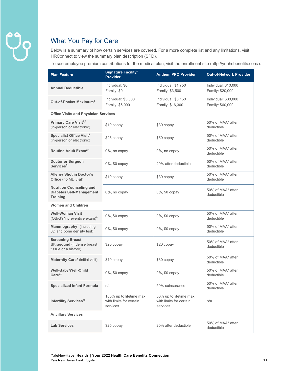### What You Pay for Care

Below is a summary of how certain services are covered. For a more complete list and any limitations, visit HRConnect to view the summary plan description (SPD).

To see employee premium contributions for the medical plan, visit the enrollment site (http://ynhhsbenefits.com/).

| <b>Plan Feature</b>                                                                   | <b>Signature Facility/</b><br><b>Provider</b>                  | <b>Anthem PPO Provider</b>                                    | <b>Out-of-Network Provider</b>           |
|---------------------------------------------------------------------------------------|----------------------------------------------------------------|---------------------------------------------------------------|------------------------------------------|
| <b>Annual Deductible</b>                                                              | Individual: \$0<br>Family: \$0                                 | Individual: \$1,750<br>Family: \$3,500                        | Individual: \$10,000<br>Family: \$20,000 |
| Out-of-Pocket Maximum <sup>1</sup>                                                    | Individual: \$3,000<br>Family: \$6,000                         | Individual: \$8,150<br>Family: \$16,300                       | Individual: \$30,000<br>Family: \$60,000 |
| <b>Office Visits and Physician Services</b>                                           |                                                                |                                                               |                                          |
| Primary Care Visit <sup>2,3</sup><br>(in-person or electronic)                        | \$10 copay                                                     | \$30 copay                                                    | 50% of MAA* after<br>deductible          |
| Specialist Office Visit <sup>2</sup><br>(in-person or electronic)                     | \$25 copay                                                     | \$50 copay                                                    | 50% of MAA* after<br>deductible          |
| Routine Adult Exam <sup>2,4</sup>                                                     | 0%, no copay                                                   | 0%, no copay                                                  | 50% of MAA* after<br>deductible          |
| <b>Doctor or Surgeon</b><br>Services <sup>5</sup>                                     | 0%, \$0 copay                                                  | 20% after deductible                                          | 50% of MAA* after<br>deductible          |
| <b>Allergy Shot in Doctor's</b><br>Office (no MD visit)                               | \$10 copay                                                     | \$30 copay                                                    | 50% of MAA* after<br>deductible          |
| <b>Nutrition Counseling and</b><br><b>Diabetes Self-Management</b><br><b>Training</b> | 0%, no copay                                                   | 0%, \$0 copay                                                 | 50% of MAA* after<br>deductible          |
| <b>Women and Children</b>                                                             |                                                                |                                                               |                                          |
| <b>Well-Woman Visit</b><br>$(OB/GYN)$ preventive exam) $6$                            | 0%, \$0 copay                                                  | 0%, \$0 copay                                                 | 50% of MAA* after<br>deductible          |
| Mammography <sup>7</sup> (including<br>3D and bone density test)                      | 0%, \$0 copay                                                  | 0%, \$0 copay                                                 | 50% of MAA* after<br>deductible          |
| <b>Screening Breast</b><br><b>Ultrasound</b> (if dense breast<br>tissue or a history) | \$20 copay                                                     | \$20 copay                                                    | 50% of MAA* after<br>deductible          |
| Maternity Care <sup>8</sup> (initial visit)                                           | \$10 copay                                                     | \$30 copay                                                    | 50% of MAA* after<br>deductible          |
| Well-Baby/Well-Child<br>$Care^{2,9}$                                                  | 0%, \$0 copay                                                  | 0%, \$0 copay                                                 | 50% of MAA* after<br>deductible          |
| <b>Specialized Infant Formula</b>                                                     | n/a                                                            | 50% coinsurance                                               | 50% of MAA* after<br>deductible          |
| Infertility Services <sup>10</sup>                                                    | 100% up to lifetime max<br>with limits for certain<br>services | 50% up to lifetime max<br>with limits for certain<br>services | n/a                                      |
| <b>Ancillary Services</b>                                                             |                                                                |                                                               |                                          |
| <b>Lab Services</b>                                                                   | \$25 copay                                                     | 20% after deductible                                          | 50% of MAA* after<br>deductible          |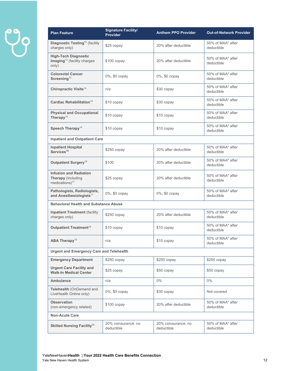# $\ddot{\varphi}$

| <b>Plan Feature</b>                                                             | <b>Signature Facility/</b><br><b>Provider</b> | <b>Anthem PPO Provider</b>        | <b>Out-of-Network Provider</b>  |
|---------------------------------------------------------------------------------|-----------------------------------------------|-----------------------------------|---------------------------------|
| Diagnostic Testing <sup>11</sup> (facility<br>charges only)                     | \$25 copay                                    | 20% after deductible              | 50% of MAA* after<br>deductible |
| <b>High-Tech Diagnostic</b><br>Imaging <sup>12</sup> (facility charges<br>only) | \$100 copay                                   | 20% after deductible              | 50% of MAA* after<br>deductible |
| <b>Colorectal Cancer</b><br>Screening <sup>13</sup>                             | 0%, \$0 copay                                 | 0%, \$0 copay                     | 50% of MAA* after<br>deductible |
| Chiropractic Visits <sup>14</sup>                                               | n/a                                           | \$30 copay                        | 50% of MAA* after<br>deductible |
| Cardiac Rehabilitation <sup>14</sup>                                            | \$10 copay                                    | \$30 copay                        | 50% of MAA* after<br>deductible |
| <b>Physical and Occupational</b><br>Therapy $14$                                | \$10 copay                                    | \$10 copay                        | 50% of MAA* after<br>deductible |
| Speech Therapy <sup>14</sup>                                                    | \$10 copay                                    | \$10 copay                        | 50% of MAA* after<br>deductible |
| <b>Inpatient and Outpatient Care</b>                                            |                                               |                                   |                                 |
| <b>Inpatient Hospital</b><br>Services <sup>15</sup>                             | $$250$ copay                                  | 20% after deductible              | 50% of MAA* after<br>deductible |
| Outpatient Surgery <sup>16</sup>                                                | \$100                                         | 20% after deductible              | 50% of MAA* after<br>deductible |
| <b>Infusion and Radiation</b><br><b>Therapy</b> (including<br>medications) $17$ | \$25 copay                                    | 20% after deductible              | 50% of MAA* after<br>deductible |
| Pathologists, Radiologists,<br>and Anesthesiologists <sup>17</sup>              | 0%, \$0 copay                                 | 0%, \$0 copay                     | 50% of MAA* after<br>deductible |
| <b>Behavioral Health and Substance Abuse</b>                                    |                                               |                                   |                                 |
| <b>Inpatient Treatment (facility</b><br>charges only)                           | \$250 copay                                   | 20% after deductible              | 50% of MAA* after<br>deductible |
| Outpatient Treatment <sup>18</sup>                                              | \$10 copay                                    | \$10 copay                        | 50% of MAA* after<br>deductible |
| ABA Therapy <sup>19</sup>                                                       | n/a                                           | \$10 copay                        | 50% of MAA* after<br>deductible |
| <b>Urgent and Emergency Care and Telehealth</b>                                 |                                               |                                   |                                 |
| <b>Emergency Department</b>                                                     | \$250 copay                                   | $$250$ copay                      | $$250$ copay                    |
| <b>Urgent Care Facility and</b><br><b>Walk-In Medical Center</b>                | $$25$ copay                                   | \$50 copay                        | \$50 copay                      |
| <b>Ambulance</b>                                                                | n/a                                           | $0\%$                             | $0\%$                           |
| Telehealth (OnDemand and<br>LiveHealth Online only)                             | 0%, \$0 copay                                 | \$30 copay                        | Not covered                     |
| <b>Observation</b><br>(non-emergency related)                                   | \$100 copay                                   | 20% after deductible              | 50% of MAA* after<br>deductible |
| <b>Non-Acute Care</b>                                                           |                                               |                                   |                                 |
| Skilled Nursing Facility <sup>20</sup>                                          | 20% coinsurance, no<br>deductible             | 20% coinsurance, no<br>deductible | 50% of MAA* after<br>deductible |
|                                                                                 |                                               |                                   |                                 |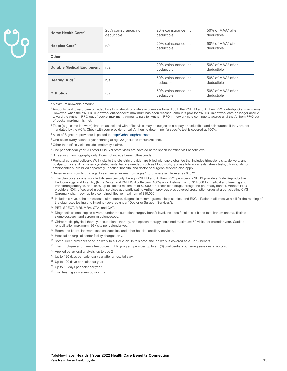| Home Health Care <sup>21</sup>   | 20% coinsurance, no<br>deductible | 20% coinsurance, no<br>deductible | 50% of MAA* after<br>deductible |
|----------------------------------|-----------------------------------|-----------------------------------|---------------------------------|
| Hospice Care <sup>22</sup>       | n/a                               | 20% coinsurance, no<br>deductible | 50% of MAA* after<br>deductible |
| <b>Other</b>                     |                                   |                                   |                                 |
| <b>Durable Medical Equipment</b> | n/a                               | 20% coinsurance, no<br>deductible | 50% of MAA* after<br>deductible |
| Hearing Aids $^{23}$             | n/a                               | 50% coinsurance, no<br>deductible | 50% of MAA* after<br>deductible |
| <b>Orthotics</b>                 | n/a                               | 50% coinsurance, no<br>deductible | 50% of MAA* after<br>deductible |

\* Maximum allowable amount.

<sup>1</sup> Amounts paid toward care provided by all in-network providers accumulate toward both the YNHHS and Anthem PPO out-of-pocket maximums. However, when the YNHHS in-network out-of-pocket maximum has been reached, amounts paid for YNHHS in-network care no longer accrue toward the Anthem PPO out-of-pocket maximum. Amounts paid for Anthem PPO in-network care continue to accrue until the Anthem PPO outof-pocket maximum is met.

 $^2$  Tests (e.g., some lab work) that are associated with office visits may be subject to a copay or deductible and coinsurance if they are not mandated by the ACA. Check with your provider or call Anthem to determine if a specific test is covered at 100%.

<sup>3</sup> A list of Signature providers is posted to: http://ynhhs.org/hrconnect

- 4 One exam every calendar year starting at age 22 (includes immunizations).
- 5 Other than office visit; includes maternity claims.
- <sup>6</sup> One per calendar year. All other OB/GYN office visits are covered at the specialist office visit benefit level.
- <sup>7</sup> Screening mammography only. Does not include breast ultrasounds.
- 8 Prenatal care and delivery. Well visits to the obstetric provider are billed with one global fee that includes trimester visits, delivery, and postpartum care. Any maternity-related tests that are needed, such as blood work, glucose tolerance tests, stress tests, ultrasounds, or amniocentesis, are billed separately. Inpatient hospital and doctor or surgeon services also apply.
- <sup>9</sup> Seven exams from birth to age 1 year; seven exams from ages 1 to 5; one exam from ages 6 to 21.
- <sup>10</sup> The plan covers in-network fertility services only through YNHHS and Anthem PPO providers. YNHHS providers: Yale Reproductive Endocrinology and Infertility (REI) Center and YNHHS Apothecary. 100% up to lifetime max of \$14,000 for medical and freezing and transferring embryos, and 100% up to lifetime maximum of \$2,000 for prescription drugs through the pharmacy benefit. Anthem PPO<br>providers: 50% of covered medical services at a participating Anthem provider, plus covered pr Caremark pharmacy, up to a combined lifetime maximum of \$10,000.
- 11 Includes x-rays, echo stress tests, ultrasounds, diagnostic mammograms, sleep studies, and EKGs. Patients will receive a bill for the reading of the diagnostic testing and imaging (covered under "Doctor or Surgeon Services").
- 12 PET, SPECT, MRI, MRA, CTA, and CAT.
- <sup>13</sup> Diagnostic colonoscopies covered under the outpatient surgery benefit level. Includes fecal occult blood test, barium enema, flexible sigmoidoscopy, and screening colonoscopy.
- 14 Chiropractic, physical therapy, occupational therapy, and speech therapy combined maximum: 50 visits per calendar year. Cardiac rehabilitation maximum: 36 visits per calendar year
- <sup>15</sup> Room and board, lab work, medical supplies, and other hospital ancillary services.
- <sup>16</sup> Hospital or surgical center facility charges only.
- <sup>17</sup> Some Tier 1 providers send lab work to a Tier 2 lab. In this case, the lab work is covered as a Tier 2 benefit.
- $18$  The Employee and Family Resources (EFR) program provides up to six (6) confidential counseling sessions at no cost.
- <sup>19</sup> Applied behavioral analysis, up to age 21.
- <sup>20</sup> Up to 120 days per calendar year after a hospital stay.
- <sup>21</sup> Up to 120 days per calendar year.
- <sup>22</sup> Up to 60 days per calendar year.
- <sup>23</sup> Two hearing aids every 36 months.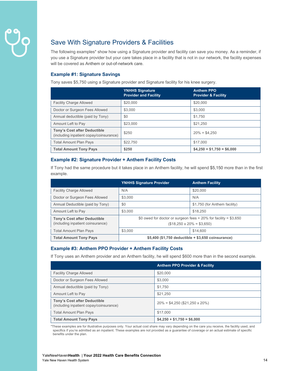### Save With Signature Providers & Facilities

The following examples\* show how using a Signature provider and facility can save you money. As a reminder, if you use a Signature provider but your care takes place in a facility that is not in our network, the facility expenses will be covered as Anthem or out-of-network care.

#### **Example #1: Signature Savings**

Tony saves \$5,750 using a Signature provider and Signature facility for his knee surgery.

|                                                                                | <b>YNHHS Signature</b><br><b>Provider and Facility</b> | <b>Anthem PPO</b><br><b>Provider &amp; Facility</b> |
|--------------------------------------------------------------------------------|--------------------------------------------------------|-----------------------------------------------------|
| <b>Facility Charge Allowed</b>                                                 | \$20,000                                               | \$20,000                                            |
| Doctor or Surgeon Fees Allowed                                                 | \$3,000                                                | \$3,000                                             |
| Annual deductible (paid by Tony)                                               | \$0                                                    | \$1.750                                             |
| Amount Left to Pay                                                             | \$23,000                                               | \$21,250                                            |
| <b>Tony's Cost after Deductible</b><br>(including inpatient copay/coinsurance) | \$250                                                  | $20\% = $4,250$                                     |
| <b>Total Amount Plan Pays</b>                                                  | \$22,750                                               | \$17,000                                            |
| <b>Total Amount Tony Pays</b>                                                  | \$250                                                  | $$4,250 + $1,750 = $6,000$                          |

#### **Example #2: Signature Provider + Anthem Facility Costs**

If Tony had the same procedure but it takes place in an Anthem facility, he will spend \$5,150 more than in the first example.

|                                                                          | <b>YNHHS Signature Provider</b>                                                                        | <b>Anthem Facility</b>        |
|--------------------------------------------------------------------------|--------------------------------------------------------------------------------------------------------|-------------------------------|
| <b>Facility Charge Allowed</b>                                           | N/A                                                                                                    | \$20,000                      |
| Doctor or Surgeon Fees Allowed                                           | \$3,000                                                                                                | N/A                           |
| Annual Deductible (paid by Tony)                                         | \$0                                                                                                    | \$1,750 (for Anthem facility) |
| Amount Left to Pay                                                       | \$3,000                                                                                                | \$18,250                      |
| <b>Tony's Cost after Deductible</b><br>(including inpatient coinsurance) | \$0 owed for doctor or surgeon fees $+20\%$ for facility = \$3,650<br>$($18,250 \times 20\% = $3,650)$ |                               |
| <b>Total Amount Plan Pays</b>                                            | \$3,000                                                                                                | \$14,600                      |
| <b>Total Amount Tony Pays</b>                                            | $$5,400$ (\$1,750 deductible $+$ \$3,650 coinsurance)                                                  |                               |

#### **Example #3: Anthem PPO Provider + Anthem Facility Costs**

If Tony uses an Anthem provider and an Anthem facility, he will spend \$600 more than in the second example.

|                                                                                | <b>Anthem PPO Provider &amp; Facility</b> |
|--------------------------------------------------------------------------------|-------------------------------------------|
| <b>Facility Charge Allowed</b>                                                 | \$20,000                                  |
| Doctor or Surgeon Fees Allowed                                                 | \$3,000                                   |
| Annual deductible (paid by Tony)                                               | \$1.750                                   |
| Amount Left to Pay                                                             | \$21,250                                  |
| <b>Tony's Cost after Deductible</b><br>(including inpatient copay/coinsurance) | $20\% = $4,250 ($21,250 \times 20\%)$     |
| <b>Total Amount Plan Pays</b>                                                  | \$17,000                                  |
| <b>Total Amount Tony Pays</b>                                                  | $$4,250 + $1,750 = $6,000$                |

\*These examples are for illustrative purposes only. Your actual cost share may vary depending on the care you receive, the facility used, and specifics if you're admitted as an inpatient. These examples are not provided as a guarantee of coverage or an actual estimate of specific benefits under the plan.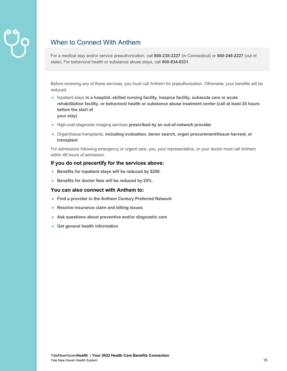### When to Connect With Anthem

For a medical stay and/or service preauthorization, call **800-238-2227** (in Connecticut) or **800-248-2227** (out of state). For behavioral health or substance abuse stays, call **800-934-0331**.

Before receiving any of these services, you must call Anthem for preauthorization. Otherwise, your benefits will be reduced.

• Inpatient stays **in a hospital, skilled nursing facility, hospice facility, subacute care or acute rehabilitation facility, or behavioral health or substance abuse treatment center (call at least 24 hours before the start of** 

**your stay)**

- High-cost diagnostic imaging services **prescribed by an out-of-network provider**
- Organ/tissue transplants, **including evaluation, donor search, organ procurement/tissue harvest, or transplant**

For admissions following emergency or urgent care, you, your representative, or your doctor must call Anthem within 48 hours of admission.

#### **If you do not precertify for the services above:**

- **Benefits for inpatient stays will be reduced by \$200.**
- **Benefits for doctor fees will be reduced by 25%.**

#### **You can also connect with Anthem to:**

- **Find a provider in the Anthem Century Preferred Network**
- **Resolve insurance claim and billing issues**
- **Ask questions about preventive and/or diagnostic care**
- **Get general health information**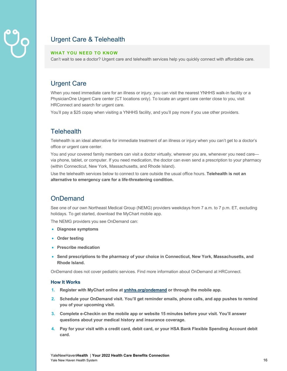

### Urgent Care & Telehealth

#### **WHAT YOU NEED TO KNOW**

Can't wait to see a doctor? Urgent care and telehealth services help you quickly connect with affordable care.

#### Urgent Care

When you need immediate care for an illness or injury, you can visit the nearest YNHHS walk-in facility or a PhysicianOne Urgent Care center (CT locations only). To locate an urgent care center close to you, visit HRConnect and search for urgent care.

You'll pay a \$25 copay when visiting a YNHHS facility, and you'll pay more if you use other providers.

#### **Telehealth**

Telehealth is an ideal alternative for immediate treatment of an illness or injury when you can't get to a doctor's office or urgent care center.

You and your covered family members can visit a doctor virtually, wherever you are, whenever you need carevia phone, tablet, or computer. If you need medication, the doctor can even send a prescription to your pharmacy (within Connecticut, New York, Massachusetts, and Rhode Island).

Use the telehealth services below to connect to care outside the usual office hours. **Telehealth is not an alternative to emergency care for a life-threatening condition.** 

#### **OnDemand**

See one of our own Northeast Medical Group (NEMG) providers weekdays from 7 a.m. to 7 p.m. ET, excluding holidays. To get started, download the MyChart mobile app.

The NEMG providers you see OnDemand can:

- **Diagnose symptoms**
- **Order testing**
- **Prescribe medication**
- **Send prescriptions to the pharmacy of your choice in Connecticut, New York, Massachusetts, and Rhode Island.**

OnDemand does not cover pediatric services. Find more information about OnDemand at HRConnect.

#### **How It Works**

- **1. Register with MyChart online at ynhhs.org/ondemand or through the mobile app.**
- **2. Schedule your OnDemand visit. You'll get reminder emails, phone calls, and app pushes to remind you of your upcoming visit.**
- **3. Complete e-Checkin on the mobile app or website 15 minutes before your visit. You'll answer questions about your medical history and insurance coverage.**
- **4. Pay for your visit with a credit card, debit card, or your HSA Bank Flexible Spending Account debit card.**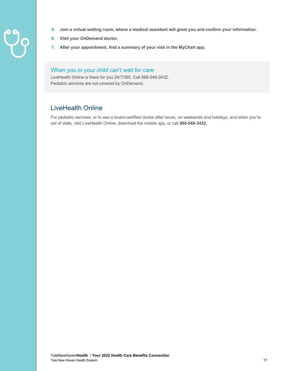- 
- **5. Join a virtual waiting room, where a medical assistant will greet you and confirm your information.**
- **6. Visit your OnDemand doctor.**
- **7. After your appointment, find a summary of your visit in the MyChart app.**

#### When you or your child can't wait for care

LiveHealth Online is there for you 24/7/365. Call 888-548-3432. Pediatric services are not covered by OnDemand.

#### LiveHealth Online

For pediatric services, or to see a board-certified doctor after hours, on weekends and holidays, and when you're out of state, visit LiveHealth Online, download the mobile app, or call **888-548-3432**.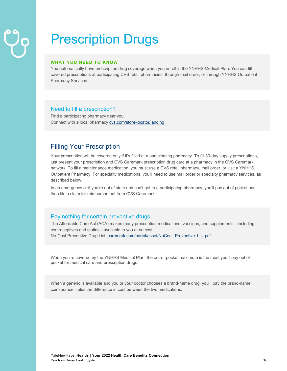# Prescription Drugs

#### **WHAT YOU NEED TO KNOW**

You automatically have prescription drug coverage when you enroll in the YNHHS Medical Plan. You can fill covered prescriptions at participating CVS retail pharmacies, through mail order, or through YNHHS Outpatient Pharmacy Services.

#### Need to fill a prescription?

Find a participating pharmacy near you. Connect with a local pharmacy cvs.com/store-locator/landing

#### Filling Your Prescription

Your prescription will be covered only if it's filled at a participating pharmacy. To fill 30-day supply prescriptions, just present your prescription and CVS Caremark prescription drug card at a pharmacy in the CVS Caremark network. To fill a maintenance medication, you must use a CVS retail pharmacy, mail order, or visit a YNHHS Outpatient Pharmacy. For specialty medications, you'll need to use mail order or specialty pharmacy services, as described below.

In an emergency or if you're out of state and can't get to a participating pharmacy, you'll pay out of pocket and then file a claim for reimbursement from CVS Caremark.

#### Pay nothing for certain preventive drugs

The Affordable Care Act (ACA) makes many prescription medications, vaccines, and supplements—including contraceptives and statins—available to you at no cost. No-Cost Preventive Drug List: caremark.com/portal/asset/NoCost\_Preventive\_List.pdf

When you're covered by the YNHHS Medical Plan, the out-of-pocket maximum is the most you'll pay out of pocket for medical care and prescription drugs.

When a generic is available and you or your doctor chooses a brand-name drug, you'll pay the brand-name coinsurance—plus the difference in cost between the two medications.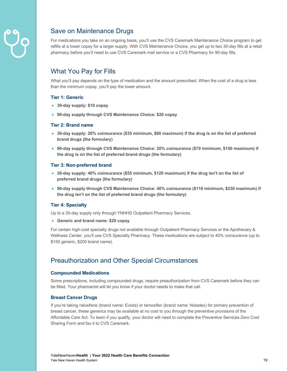

#### Save on Maintenance Drugs

For medications you take on an ongoing basis, you'll use the CVS Caremark Maintenance Choice program to get refills at a lower copay for a larger supply. With CVS Maintenance Choice, you get up to two 30-day fills at a retail pharmacy before you'll need to use CVS Caremark mail service or a CVS Pharmacy for 90-day fills.

#### What You Pay for Fills

What you'll pay depends on the type of medication and the amount prescribed. When the cost of a drug is less than the minimum copay, you'll pay the lower amount.

#### **Tier 1: Generic**

- **30-day supply: \$10 copay**
- **90-day supply through CVS Maintenance Choice: \$20 copay**

#### **Tier 2: Brand name**

- **30-day supply: 20% coinsurance (\$35 minimum, \$80 maximum) if the drug is on the list of preferred brand drugs (the formulary)**
- **90-day supply through CVS Maintenance Choice: 20% coinsurance (\$70 minimum, \$150 maximum) if the drug is on the list of preferred brand drugs (the formulary)**

#### **Tier 3: Non-preferred brand**

- **30-day supply: 40% coinsurance (\$55 minimum, \$120 maximum) if the drug isn't on the list of preferred brand drugs (the formulary)**
- **90-day supply through CVS Maintenance Choice: 40% coinsurance (\$110 minimum, \$230 maximum) if the drug isn't on the list of preferred brand drugs (the formulary)**

#### **Tier 4: Specialty**

Up to a 30-day supply only through YNHHS Outpatient Pharmacy Services.

• **Generic and brand name: \$20 copay**

For certain high-cost specialty drugs not available through Outpatient Pharmacy Services or the Apothecary & Wellness Center, you'll use CVS Specialty Pharmacy. These medications are subject to 40% coinsurance (up to \$150 generic, \$200 brand name).

#### Preauthorization and Other Special Circumstances

#### **Compounded Medications**

Some prescriptions, including compounded drugs, require preauthorization from CVS Caremark before they can be filled. Your pharmacist will let you know if your doctor needs to make that call.

#### **Breast Cancer Drugs**

If you're taking raloxifene (brand name: Evista) or tamoxifen (brand name: Noladex) for primary prevention of breast cancer, these generics may be available at no cost to you through the preventive provisions of the Affordable Care Act. To learn if you qualify, your doctor will need to complete the Preventive Services Zero Cost Sharing Form and fax it to CVS Caremark.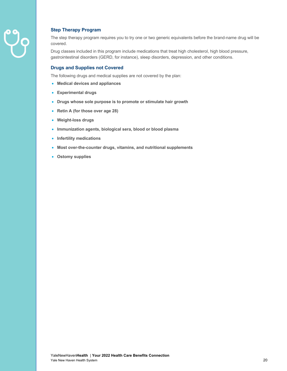

#### **Step Therapy Program**

The step therapy program requires you to try one or two generic equivalents before the brand-name drug will be covered.

Drug classes included in this program include medications that treat high cholesterol, high blood pressure, gastrointestinal disorders (GERD, for instance), sleep disorders, depression, and other conditions.

#### **Drugs and Supplies not Covered**

The following drugs and medical supplies are not covered by the plan:

- **Medical devices and appliances**
- **Experimental drugs**
- **Drugs whose sole purpose is to promote or stimulate hair growth**
- **Retin A (for those over age 28)**
- **Weight-loss drugs**
- **Immunization agents, biological sera, blood or blood plasma**
- **Infertility medications**
- **Most over-the-counter drugs, vitamins, and nutritional supplements**
- **Ostomy supplies**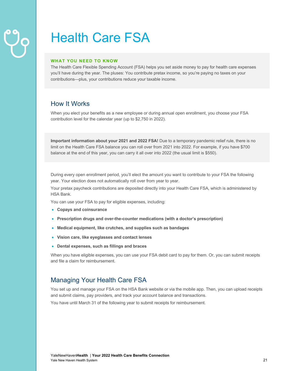# Health Care FSA

#### **WHAT YOU NEED TO KNOW**

The Health Care Flexible Spending Account (FSA) helps you set aside money to pay for health care expenses you'll have during the year. The pluses: You contribute pretax income, so you're paying no taxes on your contributions—plus, your contributions reduce your taxable income.

#### How It Works

When you elect your benefits as a new employee or during annual open enrollment, you choose your FSA contribution level for the calendar year (up to \$2,750 in 2022).

**Important information about your 2021 and 2022 FSA!** Due to a temporary pandemic relief rule, there is no limit on the Health Care FSA balance you can roll over from 2021 into 2022. For example, if you have \$700 balance at the end of this year, you can carry it all over into 2022 (the usual limit is \$550).

During every open enrollment period, you'll elect the amount you want to contribute to your FSA the following year. Your election does not automatically roll over from year to year.

Your pretax paycheck contributions are deposited directly into your Health Care FSA, which is administered by HSA Bank.

You can use your FSA to pay for eligible expenses, including:

- **Copays and coinsurance**
- **Prescription drugs and over-the-counter medications (with a doctor's prescription)**
- **Medical equipment, like crutches, and supplies such as bandages**
- **Vision care, like eyeglasses and contact lenses**
- **Dental expenses, such as fillings and braces**

When you have eligible expenses, you can use your FSA debit card to pay for them. Or, you can submit receipts and file a claim for reimbursement.

#### Managing Your Health Care FSA

You set up and manage your FSA on the HSA Bank website or via the mobile app. Then, you can upload receipts and submit claims, pay providers, and track your account balance and transactions.

You have until March 31 of the following year to submit receipts for reimbursement.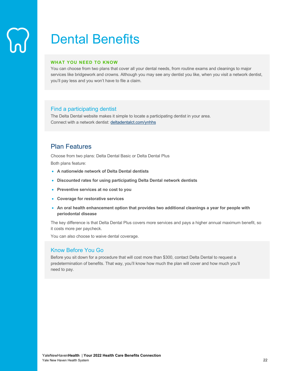# Dental Benefits

#### **WHAT YOU NEED TO KNOW**

You can choose from two plans that cover all your dental needs, from routine exams and cleanings to major services like bridgework and crowns. Although you may see any dentist you like, when you visit a network dentist, you'll pay less and you won't have to file a claim.

#### Find a participating dentist

The Delta Dental website makes it simple to locate a participating dentist in your area. Connect with a network dentist: deltadentalct.com/ynhhs

#### Plan Features

Choose from two plans: Delta Dental Basic or Delta Dental Plus

Both plans feature:

- **A nationwide network of Delta Dental dentists**
- **Discounted rates for using participating Delta Dental network dentists**
- **Preventive services at no cost to you**
- **Coverage for restorative services**
- **An oral health enhancement option that provides two additional cleanings a year for people with periodontal disease**

The key difference is that Delta Dental Plus covers more services and pays a higher annual maximum benefit, so it costs more per paycheck.

You can also choose to waive dental coverage.

#### Know Before You Go

Before you sit down for a procedure that will cost more than \$300, contact Delta Dental to request a predetermination of benefits. That way, you'll know how much the plan will cover and how much you'll need to pay.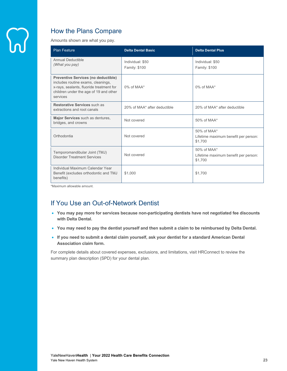

### How the Plans Compare

Amounts shown are what you pay.

| <b>Plan Feature</b>                                                                                                                                                                | <b>Delta Dental Basic</b>                | <b>Delta Dental Plus</b>                                          |
|------------------------------------------------------------------------------------------------------------------------------------------------------------------------------------|------------------------------------------|-------------------------------------------------------------------|
| Annual Deductible<br>(What you pay)                                                                                                                                                | Individual: \$50<br><b>Family: \$100</b> | Individual: \$50<br><b>Family: \$100</b>                          |
| <b>Preventive Services (no deductible)</b><br>includes routine exams, cleanings,<br>x-rays, sealants, fluoride treatment for<br>children under the age of 19 and other<br>services | $0\%$ of MAA*                            | $0\%$ of MAA*                                                     |
| Restorative Services such as<br>extractions and root canals                                                                                                                        | 20% of MAA* after deductible             | 20% of MAA* after deductible                                      |
| Major Services such as dentures,<br>bridges, and crowns                                                                                                                            | Not covered                              | $50\%$ of MAA*                                                    |
| Orthodontia                                                                                                                                                                        | Not covered                              | $50\%$ of MAA*<br>Lifetime maximum benefit per person:<br>\$1,700 |
| Temporomandibular Joint (TMJ)<br><b>Disorder Treatment Services</b>                                                                                                                | Not covered                              | $50\%$ of MAA*<br>Lifetime maximum benefit per person:<br>\$1,700 |
| Individual Maximum Calendar Year<br>Benefit (excludes orthodontic and TMJ<br>benefits)                                                                                             | \$1,000                                  | \$1,700                                                           |

\*Maximum allowable amount.

### If You Use an Out-of-Network Dentist

- **You may pay more for services because non-participating dentists have not negotiated fee discounts with Delta Dental.**
- **You may need to pay the dentist yourself and then submit a claim to be reimbursed by Delta Dental.**
- **If you need to submit a dental claim yourself, ask your dentist for a standard American Dental Association claim form.**

For complete details about covered expenses, exclusions, and limitations, visit HRConnect to review the summary plan description (SPD) for your dental plan.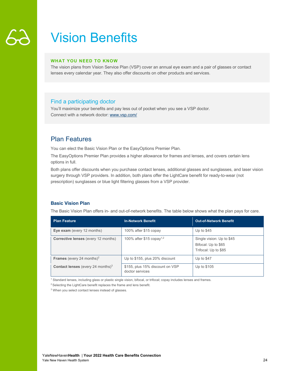### Vision Benefits

#### **WHAT YOU NEED TO KNOW**

The vision plans from Vision Service Plan (VSP) cover an annual eye exam and a pair of glasses or contact lenses every calendar year. They also offer discounts on other products and services.

#### Find a participating doctor

You'll maximize your benefits and pay less out of pocket when you see a VSP doctor. Connect with a network doctor: www.vsp.com/

#### Plan Features

You can elect the Basic Vision Plan or the EasyOptions Premier Plan.

The EasyOptions Premier Plan provides a higher allowance for frames and lenses, and covers certain lens options in full.

Both plans offer discounts when you purchase contact lenses, additional glasses and sunglasses, and laser vision surgery through VSP providers. In addition, both plans offer the LightCare benefit for ready-to-wear (not prescription) sunglasses or blue light filtering glasses from a VSP provider.

#### **Basic Vision Plan**

The Basic Vision Plan offers in- and out-of-network benefits. The table below shows what the plan pays for care.

| <b>Plan Feature</b>                                  | <b>In-Network Benefit</b>                          | <b>Out-of-Network Benefit</b>                                            |
|------------------------------------------------------|----------------------------------------------------|--------------------------------------------------------------------------|
| Eye exam (every 12 months)                           | 100% after \$15 copay                              | Up to $$45$                                                              |
| <b>Corrective lenses</b> (every 12 months)           | 100% after \$15 copay <sup>1,2</sup>               | Single vision: Up to \$45<br>Bifocal: Up to \$65<br>Trifocal: Up to \$85 |
| <b>Frames</b> (every 24 months) <sup>2</sup>         | Up to \$155, plus 20% discount                     | Up to \$47                                                               |
| <b>Contact lenses</b> (every 24 months) <sup>3</sup> | \$155, plus 15% discount on VSP<br>doctor services | Up to \$105                                                              |

<sup>1</sup> Standard lenses, including glass or plastic single vision, bifocal, or trifocal; copay includes lenses and frames.

<sup>2</sup> Selecting the LightCare benefit replaces the frame and lens benefit.

<sup>3</sup> When you select contact lenses instead of glasses.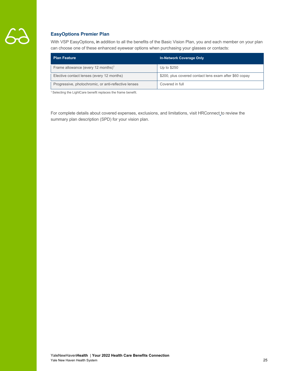

#### **EasyOptions Premier Plan**

With VSP EasyOptions, in addition to all the benefits of the Basic Vision Plan, you and each member on your plan can choose one of these enhanced eyewear options when purchasing your glasses or contacts:

| <b>Plan Feature</b>                                  | <b>In-Network Coverage Only</b>                        |
|------------------------------------------------------|--------------------------------------------------------|
| Frame allowance (every 12 months) <sup>1</sup>       | Up to \$250                                            |
| Elective contact lenses (every 12 months)            | \$200, plus covered contact lens exam after \$60 copay |
| Progressive, photochromic, or anti-reflective lenses | Covered in full                                        |

<sup>1</sup> Selecting the LightCare benefit replaces the frame benefit.

For complete details about covered expenses, exclusions, and limitations, visit HRConnect to review the summary plan description (SPD) for your vision plan.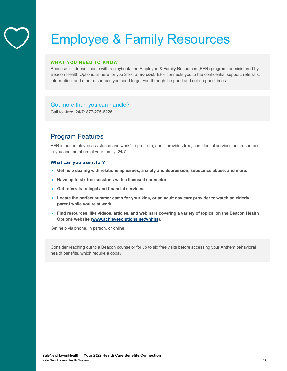### Employee & Family Resources

#### **WHAT YOU NEED TO KNOW**

Because life doesn't come with a playbook, the Employee & Family Resources (EFR) program, administered by Beacon Health Options, is here for you 24/7, at **no cost**. EFR connects you to the confidential support, referrals, information, and other resources you need to get you through the good and not-so-good times.

#### Got more than you can handle?

Call toll-free, 24/7: 877-275-6226

#### Program Features

EFR is our employee assistance and work/life program, and it provides free, confidential services and resources to you and members of your family, 24/7.

#### **What can you use it for?**

- **Get help dealing with relationship issues, anxiety and depression, substance abuse, and more.**
- **Have up to six free sessions with a licensed counselor.**
- **Get referrals to legal and financial services.**
- **Locate the perfect summer camp for your kids, or an adult day care provider to watch an elderly parent while you're at work.**
- **Find resources, like videos, articles, and webinars covering a variety of topics, on the Beacon Health Options website (www.achievesolutions.net/ynhhs).**

Get help via phone, in person, or online.

Consider reaching out to a Beacon counselor for up to six free visits before accessing your Anthem behavioral health benefits, which require a copay.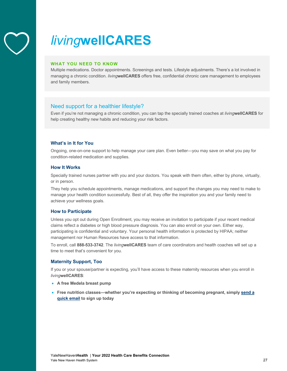

# *living***wellCARES**

#### **WHAT YOU NEED TO KNOW**

Multiple medications. Doctor appointments. Screenings and tests. Lifestyle adjustments. There's a lot involved in managing a chronic condition. *living***wellCARES** offers free, confidential chronic care management to employees and family members.

#### Need support for a healthier lifestyle?

Even if you're not managing a chronic condition, you can tap the specially trained coaches at *living***wellCARES** for help creating healthy new habits and reducing your risk factors.

#### **What's in It for You**

Ongoing, one-on-one support to help manage your care plan. Even better—you may save on what you pay for condition-related medication and supplies.

#### **How It Works**

Specially trained nurses partner with you and your doctors. You speak with them often, either by phone, virtually, or in person.

They help you schedule appointments, manage medications, and support the changes you may need to make to manage your health condition successfully. Best of all, they offer the inspiration you and your family need to achieve your wellness goals.

#### **How to Participate**

Unless you opt out during Open Enrollment, you may receive an invitation to participate if your recent medical claims reflect a diabetes or high blood pressure diagnosis. You can also enroll on your own. Either way, participating is confidential and voluntary. Your personal health information is protected by HIPAA; neither management nor Human Resources have access to that information.

To enroll, call **888-533-3742**. The *living***wellCARES** team of care coordinators and health coaches will set up a time to meet that's convenient for you.

#### **Maternity Support, Too**

If you or your spouse/partner is expecting, you'll have access to these maternity resources when you enroll in *living***wellCARES**:

- **A free Medela breast pump**
- **Free nutrition classes—whether you're expecting or thinking of becoming pregnant, simply send a quick email to sign up today**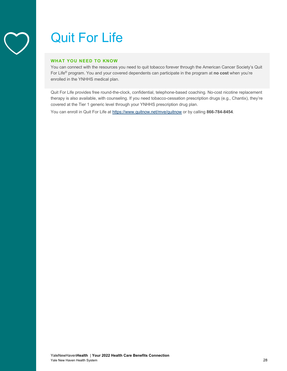### Quit For Life

#### **WHAT YOU NEED TO KNOW**

You can connect with the resources you need to quit tobacco forever through the American Cancer Society's Quit For Life® program. You and your covered dependents can participate in the program at **no cost** when you're enrolled in the YNHHS medical plan.

Quit For Life provides free round-the-clock, confidential, telephone-based coaching. No-cost nicotine replacement therapy is also available, with counseling. If you need tobacco-cessation prescription drugs (e.g., Chantix), they're covered at the Tier 1 generic level through your YNHHS prescription drug plan.

You can enroll in Quit For Life at https://www.quitnow.net/mve/quitnow or by calling **866-784-8454**.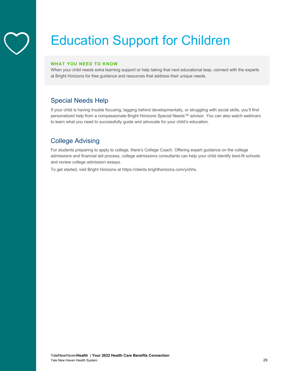

# Education Support for Children

#### **WHAT YOU NEED TO KNOW**

When your child needs extra learning support or help taking that next educational leap, connect with the experts at Bright Horizons for free guidance and resources that address their unique needs.

#### Special Needs Help

If your child is having trouble focusing, lagging behind developmentally, or struggling with social skills, you'll find personalized help from a compassionate Bright Horizons Special Needs™ advisor. You can also watch webinars to learn what you need to successfully guide and advocate for your child's education.

#### College Advising

For students preparing to apply to college, there's College Coach. Offering expert guidance on the college admissions and financial aid process, college admissions consultants can help your child identify best-fit schools and review college admission essays.

To get started, visit Bright Horizons at https://clients.brighthorizons.com/ynhhs.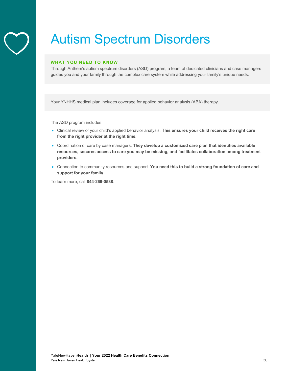### Autism Spectrum Disorders

#### **WHAT YOU NEED TO KNOW**

Through Anthem's autism spectrum disorders (ASD) program, a team of dedicated clinicians and case managers guides you and your family through the complex care system while addressing your family's unique needs.

Your YNHHS medical plan includes coverage for applied behavior analysis (ABA) therapy.

The ASD program includes:

- Clinical review of your child's applied behavior analysis. **This ensures your child receives the right care from the right provider at the right time.**
- Coordination of care by case managers. **They develop a customized care plan that identifies available resources, secures access to care you may be missing, and facilitates collaboration among treatment providers.**
- Connection to community resources and support. **You need this to build a strong foundation of care and support for your family.**

To learn more, call **844-269-0538**.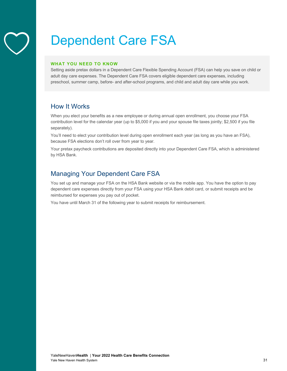### Dependent Care FSA

#### **WHAT YOU NEED TO KNOW**

Setting aside pretax dollars in a Dependent Care Flexible Spending Account (FSA) can help you save on child or adult day care expenses. The Dependent Care FSA covers eligible dependent care expenses, including preschool, summer camp, before- and after-school programs, and child and adult day care while you work.

#### How It Works

When you elect your benefits as a new employee or during annual open enrollment, you choose your FSA contribution level for the calendar year (up to \$5,000 if you and your spouse file taxes jointly; \$2,500 if you file separately).

You'll need to elect your contribution level during open enrollment each year (as long as you have an FSA), because FSA elections don't roll over from year to year.

Your pretax paycheck contributions are deposited directly into your Dependent Care FSA, which is administered by HSA Bank.

#### Managing Your Dependent Care FSA

You set up and manage your FSA on the HSA Bank website or via the mobile app. You have the option to pay dependent care expenses directly from your FSA using your HSA Bank debit card, or submit receipts and be reimbursed for expenses you pay out of pocket.

You have until March 31 of the following year to submit receipts for reimbursement.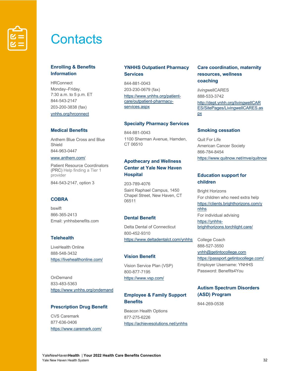

### **Contacts**

#### **Enrolling & Benefits Information**

HRConnect Monday–Friday, 7:30 a.m. to 5 p.m. ET 844-543-2147 203-200-3838 (fax) ynhhs.org/hrconnect

#### **Medical Benefits**

Anthem Blue Cross and Blue Shield 844-963-0447

#### www.anthem.com/

Patient Resource Coordinators (PRC) Help finding a Tier 1 provider 844-543-2147, option 3

#### **COBRA**

bswift 866-365-2413 Email: ynhhsbenefits.com

#### **Telehealth**

LiveHealth Online 888-548-3432 https://livehealthonline.com/

OnDemand 833-483-5363 https://www.ynhhs.org/ondemand

#### **Prescription Drug Benefit**

CVS Caremark 877-636-0406 https://www.caremark.com/

#### **YNHHS Outpatient Pharmacy Services**

844-881-0043 203-230-0679 (fax) https://www.ynhhs.org/patientcare/outpatient-pharmacyservices.aspx

#### **Specialty Pharmacy Services**

844-881-0043 1100 Sherman Avenue, Hamden, CT 06510

#### **Apothecary and Wellness Center at Yale New Haven Hospital**

203-789-4076 Saint Raphael Campus, 1450 Chapel Street, New Haven, CT 06511

#### **Dental Benefit**

Delta Dental of Connecticut 800-452-9310 https://www.deltadentalct.com/ynhhs

#### **Vision Benefit**

Vision Service Plan (VSP) 800-877-7195 https://www.vsp.com/

#### **Employee & Family Support Benefits**

Beacon Health Options 877-275-6226 https://achievesolutions.net/ynhhs

#### **Care coordination, maternity resources, wellness coaching**

*living*wellCARES 888-533-3742 http://dept.ynhh.org/livingwellCAR ES/SitePages/LivingwellCARES.as px

#### **Smoking cessation**

Quit For Life American Cancer Society 866-784-8454 https://www.quitnow.net/mve/quitnow

#### **Education support for children**

Bright Horizons For children who need extra help https://clients.brighthorizons.com/y nhhs For individual advising https://ynhhsbrighthorizons.torchlight.care/

College Coach 888-527-3550 ynhh@getintocollege.com https://passport.getintocollege.com/ Employer Username: YNHHS Password: Benefits4You

#### **Autism Spectrum Disorders (ASD) Program**

844-269-0538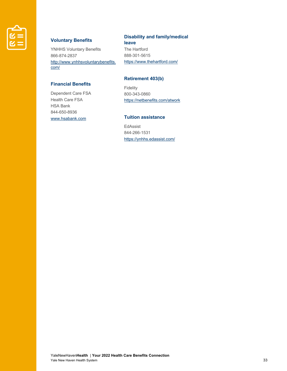

#### **Voluntary Benefits**

YNHHS Voluntary Benefits 866-874-2837 http://www.ynhhsvoluntarybenefits. com/

#### **Disability and family/medical**

**leave**

The Hartford 888-301-5615 https://www.thehartford.com/

#### **Financial Benefits**

Dependent Care FSA Health Care FSA HSA Bank 844-650-8936 www.hsabank.com

#### **Retirement 403(b)**

Fidelity 800-343-0860 https://netbenefits.com/atwork

#### **Tuition assistance**

EdAssist 844-266-1531 https://ynhhs.edassist.com/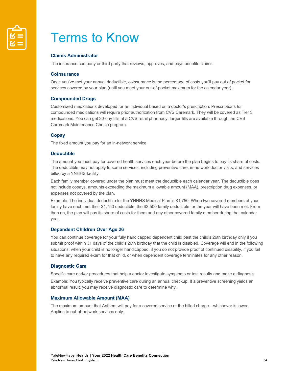

### Terms to Know

#### **Claims Administrator**

The insurance company or third party that reviews, approves, and pays benefits claims.

#### **Coinsurance**

Once you've met your annual deductible, coinsurance is the percentage of costs you'll pay out of pocket for services covered by your plan (until you meet your out-of-pocket maximum for the calendar year).

#### **Compounded Drugs**

Customized medications developed for an individual based on a doctor's prescription. Prescriptions for compounded medications will require prior authorization from CVS Caremark. They will be covered as Tier 3 medications. You can get 30-day fills at a CVS retail pharmacy; larger fills are available through the CVS Caremark Maintenance Choice program.

#### **Copay**

The fixed amount you pay for an in-network service.

#### **Deductible**

The amount you must pay for covered health services each year before the plan begins to pay its share of costs. The deductible may not apply to some services, including preventive care, in-network doctor visits, and services billed by a YNHHS facility.

Each family member covered under the plan must meet the deductible each calendar year. The deductible does not include copays, amounts exceeding the maximum allowable amount (MAA), prescription drug expenses, or expenses not covered by the plan.

Example: The individual deductible for the YNHHS Medical Plan is \$1,750. When two covered members of your family have each met their \$1,750 deductible, the \$3,500 family deductible for the year will have been met. From then on, the plan will pay its share of costs for them and any other covered family member during that calendar year.

#### **Dependent Children Over Age 26**

You can continue coverage for your fully handicapped dependent child past the child's 26th birthday only if you submit proof within 31 days of the child's 26th birthday that the child is disabled. Coverage will end in the following situations: when your child is no longer handicapped, if you do not provide proof of continued disability, if you fail to have any required exam for that child, or when dependent coverage terminates for any other reason.

#### **Diagnostic Care**

Specific care and/or procedures that help a doctor investigate symptoms or test results and make a diagnosis.

Example: You typically receive preventive care during an annual checkup. If a preventive screening yields an abnormal result, you may receive diagnostic care to determine why.

#### **Maximum Allowable Amount (MAA)**

The maximum amount that Anthem will pay for a covered service or the billed charge—whichever is lower. Applies to out-of-network services only.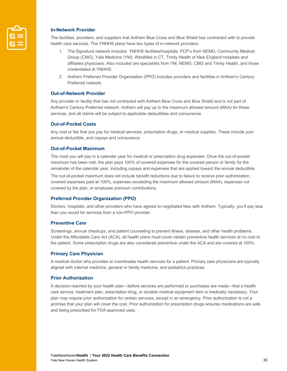

#### **In-Network Provider**

The facilities, providers, and suppliers that Anthem Blue Cross and Blue Shield has contracted with to provide health care services. The YNHHS plans have two types of in-network providers:

- 1. The Signature network includes: YNHHS facilities/hospitals, PCP's from NEMG, Community Medical Group (CMG), Yale Medicine (YM), WestMed in CT, Trinity Health of New England hospitals and affiliated physicians. Also included are specialists from YM, NEMG, CMG and Trinity Health, and those credentialed at YNHHS.
- 2. Anthem Preferred Provider Organization (PPO) includes providers and facilities in Anthem's Century Preferred network.

#### **Out-of-Network Provider**

Any provider or facility that has not contracted with Anthem Blue Cross and Blue Shield and is not part of Anthem's Century Preferred network. Anthem will pay up to the maximum allowed amount (MAA) for these services, and all claims will be subject to applicable deductibles and coinsurance.

#### **Out-of-Pocket Costs**

Any cost or fee that you pay for medical services, prescription drugs, or medical supplies. These include your annual deductible, and copays and coinsurance.

#### **Out-of-Pocket Maximum**

The most you will pay in a calendar year for medical or prescription drug expenses. Once the out-of-pocket maximum has been met, the plan pays 100% of covered expenses for the covered person or family for the remainder of the calendar year, including copays and expenses that are applied toward the annual deductible.

The out-of-pocket maximum does not include benefit reductions due to failure to receive prior authorization, covered expenses paid at 100%, expenses exceeding the maximum allowed amount (MAA), expenses not covered by the plan, or employee premium contributions.

#### **Preferred Provider Organization (PPO)**

Doctors, hospitals, and other providers who have agreed to negotiated fees with Anthem. Typically, you'll pay less than you would for services from a non-PPO provider.

#### **Preventive Care**

Screenings, annual checkups, and patient counseling to prevent illness, disease, and other health problems. Under the Affordable Care Act (ACA), all health plans must cover certain preventive health services at no cost to the patient. Some prescription drugs are also considered preventive under the ACA and are covered at 100%.

#### **Primary Care Physician**

A medical doctor who provides or coordinates health services for a patient. Primary care physicians are typically aligned with internal medicine, general or family medicine, and pediatrics practices.

#### **Prior Authorization**

A decision reached by your health plan—before services are performed or purchases are made—that a health care service, treatment plan, prescription drug, or durable medical equipment item is medically necessary. Your plan may require prior authorization for certain services, except in an emergency. Prior authorization is not a promise that your plan will cover the cost. Prior authorization for prescription drugs ensures medications are safe and being prescribed for FDA-approved uses.